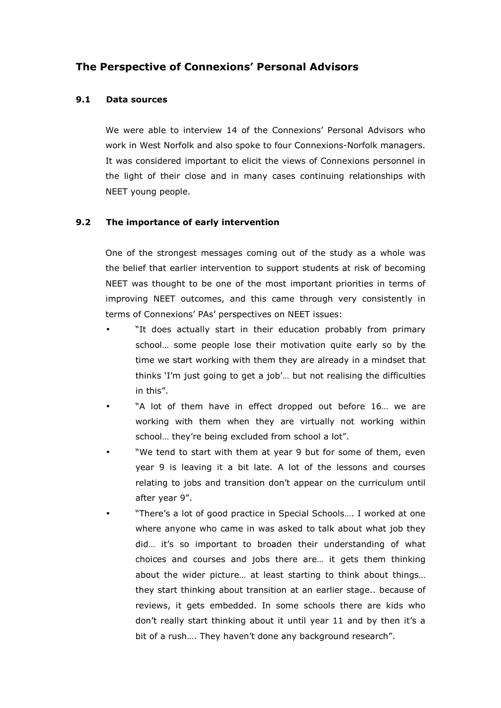# The Perspective of Connexions' Personal Advisors

# 9.1 Data sources

 We were able to interview 14 of the Connexions' Personal Advisors who work in West Norfolk and also spoke to four Connexions-Norfolk managers. It was considered important to elicit the views of Connexions personnel in the light of their close and in many cases continuing relationships with NEET young people.

# 9.2 The importance of early intervention

 One of the strongest messages coming out of the study as a whole was the belief that earlier intervention to support students at risk of becoming NEET was thought to be one of the most important priorities in terms of improving NEET outcomes, and this came through very consistently in terms of Connexions' PAs' perspectives on NEET issues:

- "It does actually start in their education probably from primary school… some people lose their motivation quite early so by the time we start working with them they are already in a mindset that thinks 'I'm just going to get a job'… but not realising the difficulties in this".
- "A lot of them have in effect dropped out before 16... we are working with them when they are virtually not working within school… they're being excluded from school a lot".
- "We tend to start with them at year 9 but for some of them, even year 9 is leaving it a bit late. A lot of the lessons and courses relating to jobs and transition don't appear on the curriculum until after year 9".
- "There's a lot of good practice in Special Schools…. I worked at one where anyone who came in was asked to talk about what job they did… it's so important to broaden their understanding of what choices and courses and jobs there are… it gets them thinking about the wider picture… at least starting to think about things… they start thinking about transition at an earlier stage.. because of reviews, it gets embedded. In some schools there are kids who don't really start thinking about it until year 11 and by then it's a bit of a rush…. They haven't done any background research".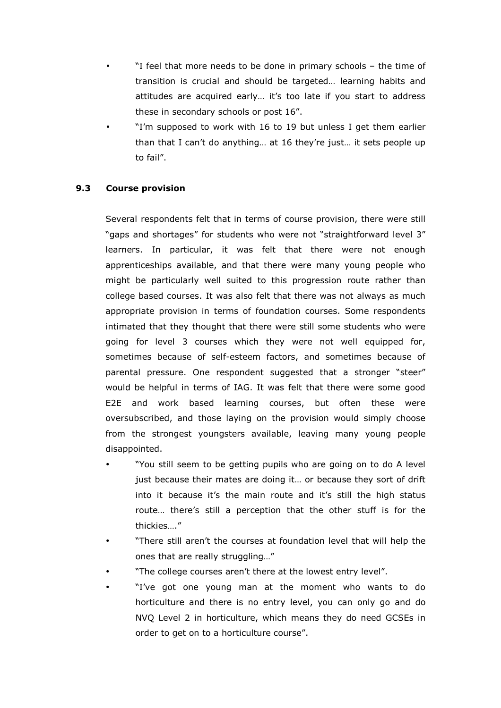- "I feel that more needs to be done in primary schools the time of transition is crucial and should be targeted… learning habits and attitudes are acquired early… it's too late if you start to address these in secondary schools or post 16".
- "I'm supposed to work with 16 to 19 but unless I get them earlier than that I can't do anything… at 16 they're just… it sets people up to fail".

# 9.3 Course provision

 Several respondents felt that in terms of course provision, there were still "gaps and shortages" for students who were not "straightforward level 3" learners. In particular, it was felt that there were not enough apprenticeships available, and that there were many young people who might be particularly well suited to this progression route rather than college based courses. It was also felt that there was not always as much appropriate provision in terms of foundation courses. Some respondents intimated that they thought that there were still some students who were going for level 3 courses which they were not well equipped for, sometimes because of self-esteem factors, and sometimes because of parental pressure. One respondent suggested that a stronger "steer" would be helpful in terms of IAG. It was felt that there were some good E2E and work based learning courses, but often these were oversubscribed, and those laying on the provision would simply choose from the strongest youngsters available, leaving many young people disappointed.

- "You still seem to be getting pupils who are going on to do A level just because their mates are doing it… or because they sort of drift into it because it's the main route and it's still the high status route… there's still a perception that the other stuff is for the thickies…."
- "There still aren't the courses at foundation level that will help the ones that are really struggling…"
- "The college courses aren't there at the lowest entry level".
- "I've got one young man at the moment who wants to do horticulture and there is no entry level, you can only go and do NVQ Level 2 in horticulture, which means they do need GCSEs in order to get on to a horticulture course".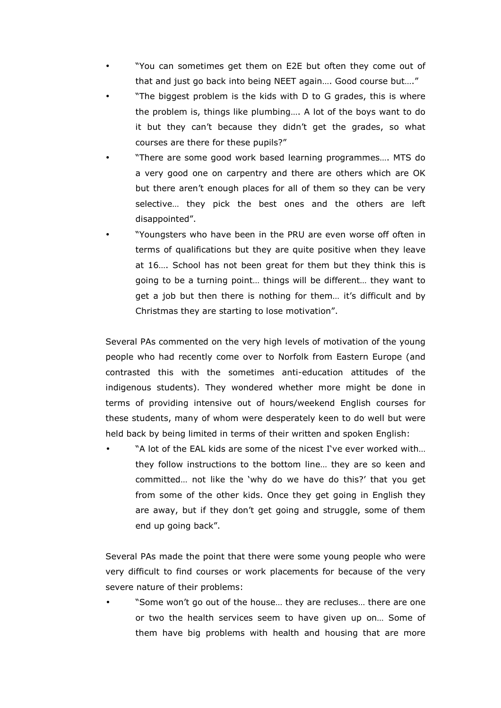- "You can sometimes get them on E2E but often they come out of that and just go back into being NEET again…. Good course but…."
- "The biggest problem is the kids with D to G grades, this is where the problem is, things like plumbing…. A lot of the boys want to do it but they can't because they didn't get the grades, so what courses are there for these pupils?"
- "There are some good work based learning programmes…. MTS do a very good one on carpentry and there are others which are OK but there aren't enough places for all of them so they can be very selective… they pick the best ones and the others are left disappointed".
- "Youngsters who have been in the PRU are even worse off often in terms of qualifications but they are quite positive when they leave at 16…. School has not been great for them but they think this is going to be a turning point… things will be different… they want to get a job but then there is nothing for them… it's difficult and by Christmas they are starting to lose motivation".

 Several PAs commented on the very high levels of motivation of the young people who had recently come over to Norfolk from Eastern Europe (and contrasted this with the sometimes anti-education attitudes of the indigenous students). They wondered whether more might be done in terms of providing intensive out of hours/weekend English courses for these students, many of whom were desperately keen to do well but were held back by being limited in terms of their written and spoken English:

"A lot of the EAL kids are some of the nicest I've ever worked with... they follow instructions to the bottom line… they are so keen and committed… not like the 'why do we have do this?' that you get from some of the other kids. Once they get going in English they are away, but if they don't get going and struggle, some of them end up going back".

 Several PAs made the point that there were some young people who were very difficult to find courses or work placements for because of the very severe nature of their problems:

• "Some won't go out of the house… they are recluses… there are one or two the health services seem to have given up on… Some of them have big problems with health and housing that are more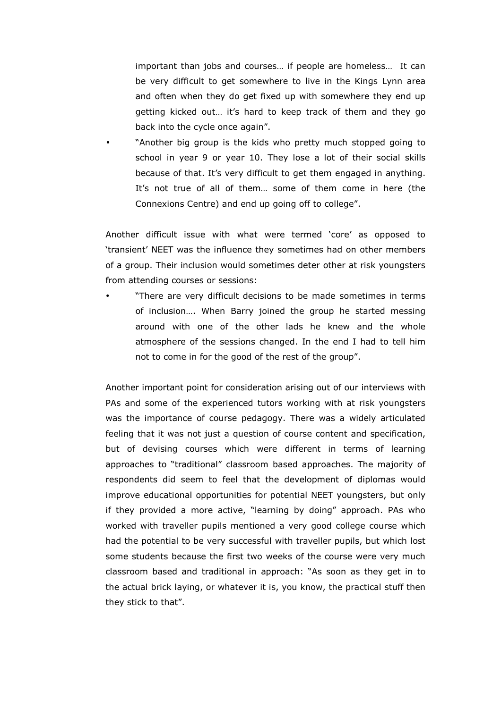important than jobs and courses… if people are homeless… It can be very difficult to get somewhere to live in the Kings Lynn area and often when they do get fixed up with somewhere they end up getting kicked out… it's hard to keep track of them and they go back into the cycle once again".

• "Another big group is the kids who pretty much stopped going to school in year 9 or year 10. They lose a lot of their social skills because of that. It's very difficult to get them engaged in anything. It's not true of all of them… some of them come in here (the Connexions Centre) and end up going off to college".

 Another difficult issue with what were termed 'core' as opposed to 'transient' NEET was the influence they sometimes had on other members of a group. Their inclusion would sometimes deter other at risk youngsters from attending courses or sessions:

• "There are very difficult decisions to be made sometimes in terms of inclusion…. When Barry joined the group he started messing around with one of the other lads he knew and the whole atmosphere of the sessions changed. In the end I had to tell him not to come in for the good of the rest of the group".

 Another important point for consideration arising out of our interviews with PAs and some of the experienced tutors working with at risk youngsters was the importance of course pedagogy. There was a widely articulated feeling that it was not just a question of course content and specification, but of devising courses which were different in terms of learning approaches to "traditional" classroom based approaches. The majority of respondents did seem to feel that the development of diplomas would improve educational opportunities for potential NEET youngsters, but only if they provided a more active, "learning by doing" approach. PAs who worked with traveller pupils mentioned a very good college course which had the potential to be very successful with traveller pupils, but which lost some students because the first two weeks of the course were very much classroom based and traditional in approach: "As soon as they get in to the actual brick laying, or whatever it is, you know, the practical stuff then they stick to that".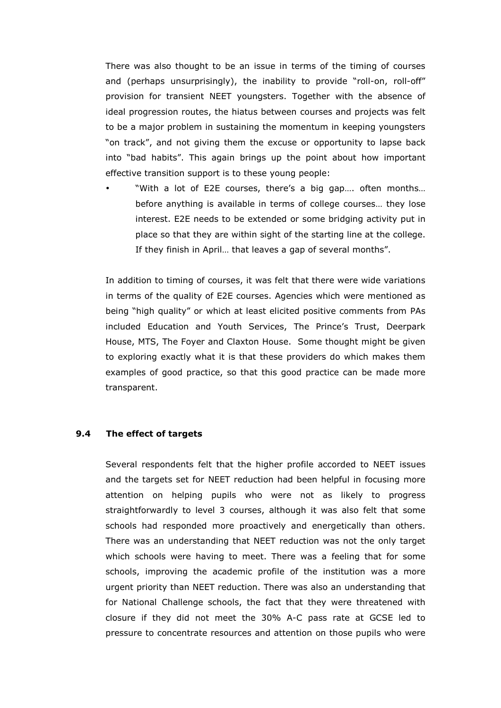There was also thought to be an issue in terms of the timing of courses and (perhaps unsurprisingly), the inability to provide "roll-on, roll-off" provision for transient NEET youngsters. Together with the absence of ideal progression routes, the hiatus between courses and projects was felt to be a major problem in sustaining the momentum in keeping youngsters "on track", and not giving them the excuse or opportunity to lapse back into "bad habits". This again brings up the point about how important effective transition support is to these young people:

"With a lot of E2E courses, there's a big gap.... often months... before anything is available in terms of college courses… they lose interest. E2E needs to be extended or some bridging activity put in place so that they are within sight of the starting line at the college. If they finish in April… that leaves a gap of several months".

 In addition to timing of courses, it was felt that there were wide variations in terms of the quality of E2E courses. Agencies which were mentioned as being "high quality" or which at least elicited positive comments from PAs included Education and Youth Services, The Prince's Trust, Deerpark House, MTS, The Foyer and Claxton House. Some thought might be given to exploring exactly what it is that these providers do which makes them examples of good practice, so that this good practice can be made more transparent.

# 9.4 The effect of targets

 Several respondents felt that the higher profile accorded to NEET issues and the targets set for NEET reduction had been helpful in focusing more attention on helping pupils who were not as likely to progress straightforwardly to level 3 courses, although it was also felt that some schools had responded more proactively and energetically than others. There was an understanding that NEET reduction was not the only target which schools were having to meet. There was a feeling that for some schools, improving the academic profile of the institution was a more urgent priority than NEET reduction. There was also an understanding that for National Challenge schools, the fact that they were threatened with closure if they did not meet the 30% A-C pass rate at GCSE led to pressure to concentrate resources and attention on those pupils who were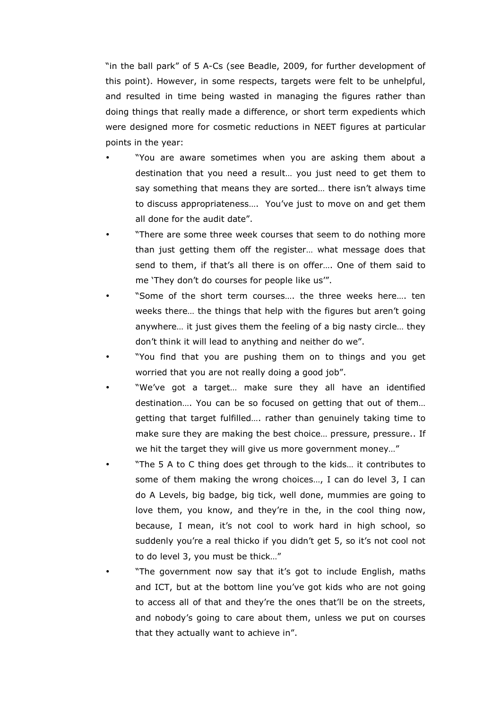"in the ball park" of 5 A-Cs (see Beadle, 2009, for further development of this point). However, in some respects, targets were felt to be unhelpful, and resulted in time being wasted in managing the figures rather than doing things that really made a difference, or short term expedients which were designed more for cosmetic reductions in NEET figures at particular points in the year:

- "You are aware sometimes when you are asking them about a destination that you need a result… you just need to get them to say something that means they are sorted… there isn't always time to discuss appropriateness…. You've just to move on and get them all done for the audit date".
- "There are some three week courses that seem to do nothing more than just getting them off the register… what message does that send to them, if that's all there is on offer…. One of them said to me 'They don't do courses for people like us'".
- "Some of the short term courses…. the three weeks here…. ten weeks there… the things that help with the figures but aren't going anywhere… it just gives them the feeling of a big nasty circle… they don't think it will lead to anything and neither do we".
- "You find that you are pushing them on to things and you get worried that you are not really doing a good job".
- "We've got a target... make sure they all have an identified destination…. You can be so focused on getting that out of them… getting that target fulfilled…. rather than genuinely taking time to make sure they are making the best choice… pressure, pressure.. If we hit the target they will give us more government money…"
- "The 5 A to C thing does get through to the kids... it contributes to some of them making the wrong choices…, I can do level 3, I can do A Levels, big badge, big tick, well done, mummies are going to love them, you know, and they're in the, in the cool thing now, because, I mean, it's not cool to work hard in high school, so suddenly you're a real thicko if you didn't get 5, so it's not cool not to do level 3, you must be thick…"
- "The government now say that it's got to include English, maths and ICT, but at the bottom line you've got kids who are not going to access all of that and they're the ones that'll be on the streets, and nobody's going to care about them, unless we put on courses that they actually want to achieve in".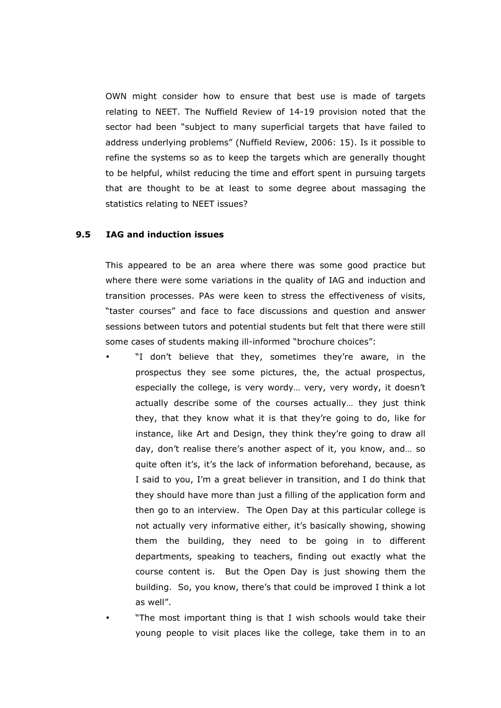OWN might consider how to ensure that best use is made of targets relating to NEET. The Nuffield Review of 14-19 provision noted that the sector had been "subject to many superficial targets that have failed to address underlying problems" (Nuffield Review, 2006: 15). Is it possible to refine the systems so as to keep the targets which are generally thought to be helpful, whilst reducing the time and effort spent in pursuing targets that are thought to be at least to some degree about massaging the statistics relating to NEET issues?

# 9.5 IAG and induction issues

 This appeared to be an area where there was some good practice but where there were some variations in the quality of IAG and induction and transition processes. PAs were keen to stress the effectiveness of visits, "taster courses" and face to face discussions and question and answer sessions between tutors and potential students but felt that there were still some cases of students making ill-informed "brochure choices":

- "I don't believe that they, sometimes they're aware, in the prospectus they see some pictures, the, the actual prospectus, especially the college, is very wordy… very, very wordy, it doesn't actually describe some of the courses actually… they just think they, that they know what it is that they're going to do, like for instance, like Art and Design, they think they're going to draw all day, don't realise there's another aspect of it, you know, and… so quite often it's, it's the lack of information beforehand, because, as I said to you, I'm a great believer in transition, and I do think that they should have more than just a filling of the application form and then go to an interview. The Open Day at this particular college is not actually very informative either, it's basically showing, showing them the building, they need to be going in to different departments, speaking to teachers, finding out exactly what the course content is. But the Open Day is just showing them the building. So, you know, there's that could be improved I think a lot as well".
- "The most important thing is that I wish schools would take their young people to visit places like the college, take them in to an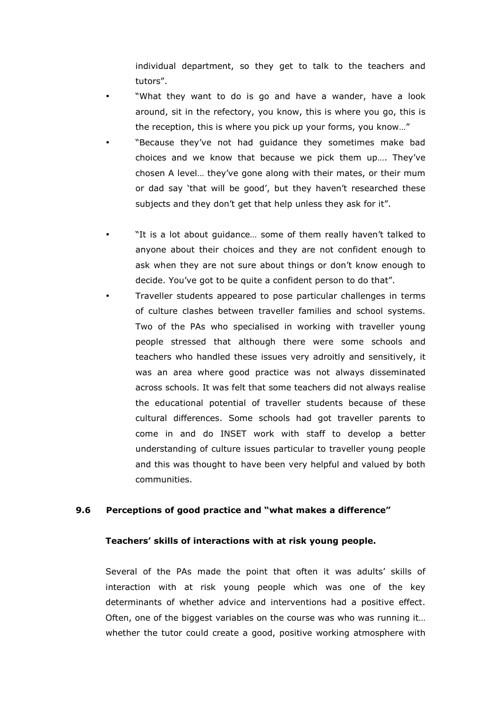individual department, so they get to talk to the teachers and tutors".

- "What they want to do is go and have a wander, have a look around, sit in the refectory, you know, this is where you go, this is the reception, this is where you pick up your forms, you know…"
- "Because they've not had guidance they sometimes make bad choices and we know that because we pick them up…. They've chosen A level… they've gone along with their mates, or their mum or dad say 'that will be good', but they haven't researched these subjects and they don't get that help unless they ask for it".
- "It is a lot about guidance... some of them really haven't talked to anyone about their choices and they are not confident enough to ask when they are not sure about things or don't know enough to decide. You've got to be quite a confident person to do that".
- Traveller students appeared to pose particular challenges in terms of culture clashes between traveller families and school systems. Two of the PAs who specialised in working with traveller young people stressed that although there were some schools and teachers who handled these issues very adroitly and sensitively, it was an area where good practice was not always disseminated across schools. It was felt that some teachers did not always realise the educational potential of traveller students because of these cultural differences. Some schools had got traveller parents to come in and do INSET work with staff to develop a better understanding of culture issues particular to traveller young people and this was thought to have been very helpful and valued by both communities.

# 9.6 Perceptions of good practice and "what makes a difference"

#### Teachers' skills of interactions with at risk young people.

 Several of the PAs made the point that often it was adults' skills of interaction with at risk young people which was one of the key determinants of whether advice and interventions had a positive effect. Often, one of the biggest variables on the course was who was running it… whether the tutor could create a good, positive working atmosphere with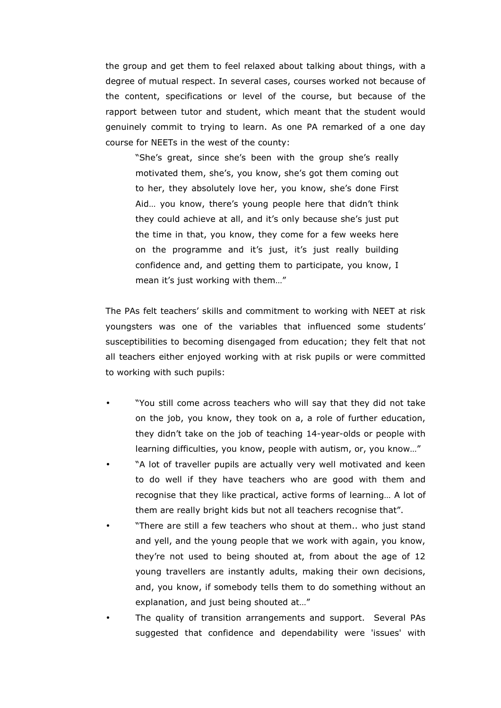the group and get them to feel relaxed about talking about things, with a degree of mutual respect. In several cases, courses worked not because of the content, specifications or level of the course, but because of the rapport between tutor and student, which meant that the student would genuinely commit to trying to learn. As one PA remarked of a one day course for NEETs in the west of the county:

 "She's great, since she's been with the group she's really motivated them, she's, you know, she's got them coming out to her, they absolutely love her, you know, she's done First Aid… you know, there's young people here that didn't think they could achieve at all, and it's only because she's just put the time in that, you know, they come for a few weeks here on the programme and it's just, it's just really building confidence and, and getting them to participate, you know, I mean it's just working with them…"

 The PAs felt teachers' skills and commitment to working with NEET at risk youngsters was one of the variables that influenced some students' susceptibilities to becoming disengaged from education; they felt that not all teachers either enjoyed working with at risk pupils or were committed to working with such pupils:

- "You still come across teachers who will say that they did not take on the job, you know, they took on a, a role of further education, they didn't take on the job of teaching 14-year-olds or people with learning difficulties, you know, people with autism, or, you know…"
- "A lot of traveller pupils are actually very well motivated and keen to do well if they have teachers who are good with them and recognise that they like practical, active forms of learning… A lot of them are really bright kids but not all teachers recognise that".
- "There are still a few teachers who shout at them.. who just stand and yell, and the young people that we work with again, you know, they're not used to being shouted at, from about the age of 12 young travellers are instantly adults, making their own decisions, and, you know, if somebody tells them to do something without an explanation, and just being shouted at…"
- The quality of transition arrangements and support. Several PAs suggested that confidence and dependability were 'issues' with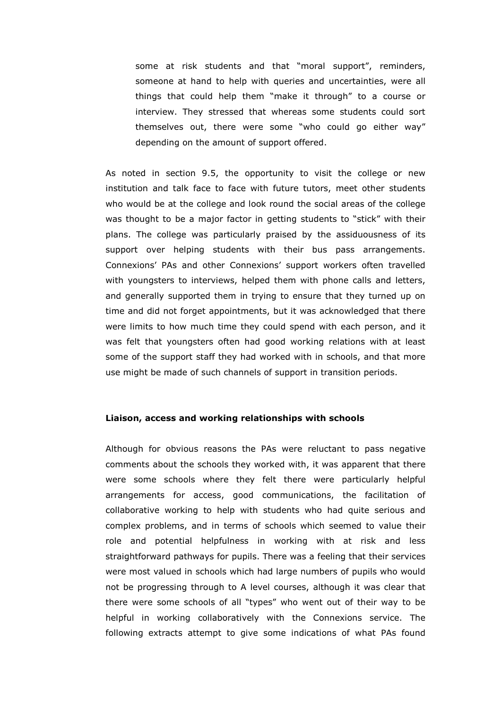some at risk students and that "moral support", reminders, someone at hand to help with queries and uncertainties, were all things that could help them "make it through" to a course or interview. They stressed that whereas some students could sort themselves out, there were some "who could go either way" depending on the amount of support offered.

 As noted in section 9.5, the opportunity to visit the college or new institution and talk face to face with future tutors, meet other students who would be at the college and look round the social areas of the college was thought to be a major factor in getting students to "stick" with their plans. The college was particularly praised by the assiduousness of its support over helping students with their bus pass arrangements. Connexions' PAs and other Connexions' support workers often travelled with youngsters to interviews, helped them with phone calls and letters, and generally supported them in trying to ensure that they turned up on time and did not forget appointments, but it was acknowledged that there were limits to how much time they could spend with each person, and it was felt that youngsters often had good working relations with at least some of the support staff they had worked with in schools, and that more use might be made of such channels of support in transition periods.

## Liaison, access and working relationships with schools

 Although for obvious reasons the PAs were reluctant to pass negative comments about the schools they worked with, it was apparent that there were some schools where they felt there were particularly helpful arrangements for access, good communications, the facilitation of collaborative working to help with students who had quite serious and complex problems, and in terms of schools which seemed to value their role and potential helpfulness in working with at risk and less straightforward pathways for pupils. There was a feeling that their services were most valued in schools which had large numbers of pupils who would not be progressing through to A level courses, although it was clear that there were some schools of all "types" who went out of their way to be helpful in working collaboratively with the Connexions service. The following extracts attempt to give some indications of what PAs found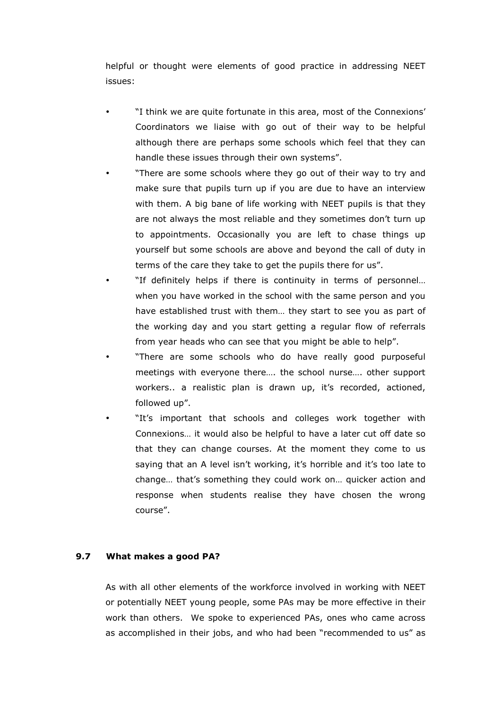helpful or thought were elements of good practice in addressing NEET issues:

- "I think we are quite fortunate in this area, most of the Connexions' Coordinators we liaise with go out of their way to be helpful although there are perhaps some schools which feel that they can handle these issues through their own systems".
- "There are some schools where they go out of their way to try and make sure that pupils turn up if you are due to have an interview with them. A big bane of life working with NEET pupils is that they are not always the most reliable and they sometimes don't turn up to appointments. Occasionally you are left to chase things up yourself but some schools are above and beyond the call of duty in terms of the care they take to get the pupils there for us".
- "If definitely helps if there is continuity in terms of personnel... when you have worked in the school with the same person and you have established trust with them… they start to see you as part of the working day and you start getting a regular flow of referrals from year heads who can see that you might be able to help".
- "There are some schools who do have really good purposeful meetings with everyone there…. the school nurse…. other support workers.. a realistic plan is drawn up, it's recorded, actioned, followed up".
- "It's important that schools and colleges work together with Connexions… it would also be helpful to have a later cut off date so that they can change courses. At the moment they come to us saying that an A level isn't working, it's horrible and it's too late to change… that's something they could work on… quicker action and response when students realise they have chosen the wrong course".

# 9.7 What makes a good PA?

 As with all other elements of the workforce involved in working with NEET or potentially NEET young people, some PAs may be more effective in their work than others. We spoke to experienced PAs, ones who came across as accomplished in their jobs, and who had been "recommended to us" as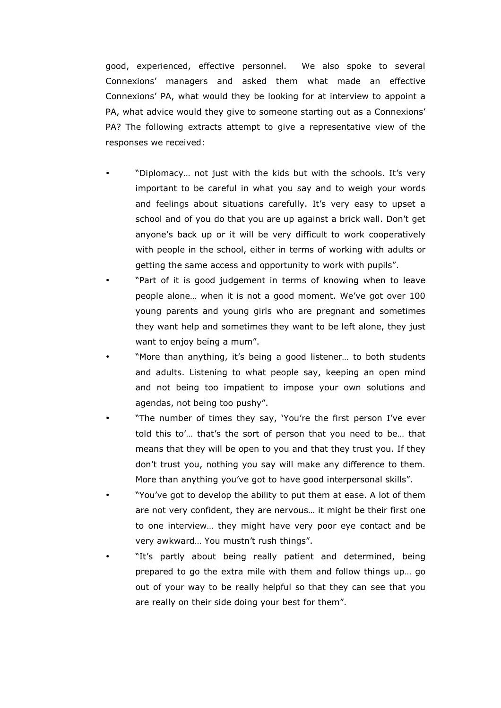good, experienced, effective personnel. We also spoke to several Connexions' managers and asked them what made an effective Connexions' PA, what would they be looking for at interview to appoint a PA, what advice would they give to someone starting out as a Connexions' PA? The following extracts attempt to give a representative view of the responses we received:

- "Diplomacy… not just with the kids but with the schools. It's very important to be careful in what you say and to weigh your words and feelings about situations carefully. It's very easy to upset a school and of you do that you are up against a brick wall. Don't get anyone's back up or it will be very difficult to work cooperatively with people in the school, either in terms of working with adults or getting the same access and opportunity to work with pupils".
- "Part of it is good judgement in terms of knowing when to leave people alone… when it is not a good moment. We've got over 100 young parents and young girls who are pregnant and sometimes they want help and sometimes they want to be left alone, they just want to enjoy being a mum".
- "More than anything, it's being a good listener… to both students and adults. Listening to what people say, keeping an open mind and not being too impatient to impose your own solutions and agendas, not being too pushy".
- "The number of times they say, 'You're the first person I've ever told this to'… that's the sort of person that you need to be… that means that they will be open to you and that they trust you. If they don't trust you, nothing you say will make any difference to them. More than anything you've got to have good interpersonal skills".
- "You've got to develop the ability to put them at ease. A lot of them are not very confident, they are nervous… it might be their first one to one interview… they might have very poor eye contact and be very awkward… You mustn't rush things".
- "It's partly about being really patient and determined, being prepared to go the extra mile with them and follow things up… go out of your way to be really helpful so that they can see that you are really on their side doing your best for them".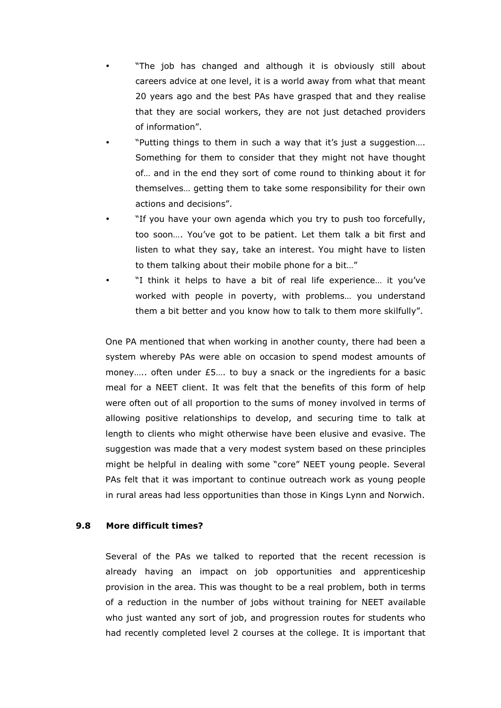- "The job has changed and although it is obviously still about careers advice at one level, it is a world away from what that meant 20 years ago and the best PAs have grasped that and they realise that they are social workers, they are not just detached providers of information".
- "Putting things to them in such a way that it's just a suggestion…. Something for them to consider that they might not have thought of… and in the end they sort of come round to thinking about it for themselves… getting them to take some responsibility for their own actions and decisions".
- "If you have your own agenda which you try to push too forcefully, too soon…. You've got to be patient. Let them talk a bit first and listen to what they say, take an interest. You might have to listen to them talking about their mobile phone for a bit…"
- "I think it helps to have a bit of real life experience... it you've worked with people in poverty, with problems… you understand them a bit better and you know how to talk to them more skilfully".

 One PA mentioned that when working in another county, there had been a system whereby PAs were able on occasion to spend modest amounts of money..... often under £5.... to buy a snack or the ingredients for a basic meal for a NEET client. It was felt that the benefits of this form of help were often out of all proportion to the sums of money involved in terms of allowing positive relationships to develop, and securing time to talk at length to clients who might otherwise have been elusive and evasive. The suggestion was made that a very modest system based on these principles might be helpful in dealing with some "core" NEET young people. Several PAs felt that it was important to continue outreach work as young people in rural areas had less opportunities than those in Kings Lynn and Norwich.

## 9.8 More difficult times?

 Several of the PAs we talked to reported that the recent recession is already having an impact on job opportunities and apprenticeship provision in the area. This was thought to be a real problem, both in terms of a reduction in the number of jobs without training for NEET available who just wanted any sort of job, and progression routes for students who had recently completed level 2 courses at the college. It is important that